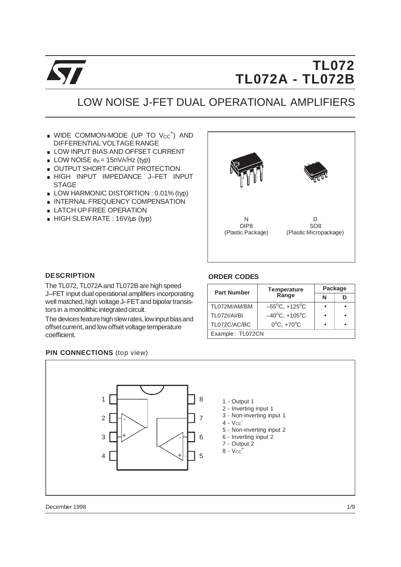

# **TL072 TL072A - TL072B**

## LOW NOISE J-FET DUAL OPERATIONAL AMPLIFIERS

- WIDE COMMON-MODE (UP TO Vcc<sup>+</sup>) AND DIFFERENTIAL VOLTAGE RANGE ■ WIDE COMMON-MODE (UP TO Vcc') A<br>DIFFERENTIAL VOLTAGE RANGE<br>■ LOW INPUT BIAS AND OFFSET CURRENT
- DIFFERENTIAL VOLTAGE RANG<br>
LOW INPUT BIAS AND OFFSET<br>
LOW NOISE  $e_n = 15nV/Hz$  (typ)
- 
- **E** LOW NOISE  $e_n = 15nV/NHz$  (typ)<br> **E** OUTPUT SHORT-CIRCUIT PROTECTION
- . HIGH INPUT IMPEDANCE J–FET INPUT **STAGE**
- LOW HARMONIC DISTORTION : 0.01% (typ)
- **INTERNAL FREQUENCY COMPENSATION**
- **E** LATCH UP FREE OPERATION
- $\blacksquare$  HIGH SLEW RATE : 16V/us (typ)  $\blacksquare$



#### **DESCRIPTION**

The TL072, TL072A and TL072B are high speed J–FET input dual operational amplifiers incorporating well matched, high voltage J–FET and bipolar transistors in a monolithic integrated circuit.

The devices feature high slew rates, low input bias and offset current, and low offset voltage temperature coefficient.

### **ORDER CODES**

| <b>Part Number</b>  | <b>Temperature</b>                 | Package |  |  |  |  |  |
|---------------------|------------------------------------|---------|--|--|--|--|--|
|                     | Range                              | N       |  |  |  |  |  |
| TL072M/AM/BM        | $-55^{\circ}$ C, +125 $^{\circ}$ C |         |  |  |  |  |  |
| <b>TL072I/AI/BI</b> | $-40^{\circ}$ C, +105 $^{\circ}$ C |         |  |  |  |  |  |
| TL072C/AC/BC        | $0^{\circ}$ C, +70 $^{\circ}$ C    |         |  |  |  |  |  |
| Example: TL072CN    |                                    |         |  |  |  |  |  |

#### **PIN CONNECTIONS** (top view)



December 1998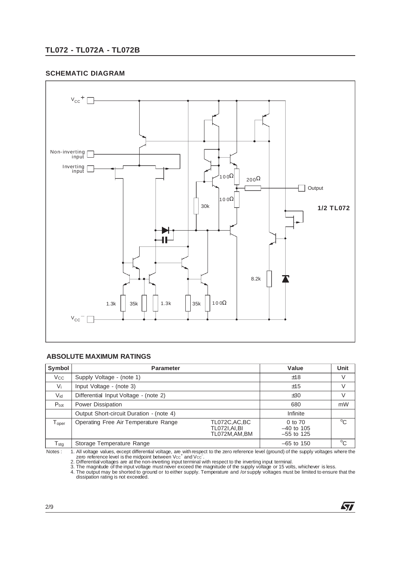## **TL072 - TL072A - TL072B**

#### **SCHEMATIC DIAGRAM**



#### **ABSOLUTE MAXIMUM RATINGS**

| Symbol                        | <b>Parameter</b>                         | Value                                                   | <b>Unit</b>                             |              |
|-------------------------------|------------------------------------------|---------------------------------------------------------|-----------------------------------------|--------------|
| $V_{\rm CC}$                  | Supply Voltage - (note 1)                |                                                         | ±18                                     | $\vee$       |
| $V_i$                         | Input Voltage - (note 3)                 |                                                         | ±15                                     | $\vee$       |
| $V_{\text{id}}$               | Differential Input Voltage - (note 2)    |                                                         | ±30                                     | $\vee$       |
| $P_{\text{tot}}$              | Power Dissipation                        |                                                         | 680                                     | mW           |
|                               | Output Short-circuit Duration - (note 4) |                                                         | Infinite                                |              |
| ${\mathsf T}_{\mathsf{oper}}$ | Operating Free Air Temperature Range     | TL072C, AC, BC<br><b>TL072I, AI, BI</b><br>TL072M,AM,BM | 0 to 70<br>$-40$ to 105<br>$-55$ to 125 | $^{\circ}$ C |
| $T_{\text{stg}}$              | Storage Temperature Range                |                                                         | $-65$ to 150                            | $^{\circ}$ C |

1. All voltage values, except differential voltage, are with respect to the zero reference level (ground) of the supply voltages where the<br>zero reference level is the midpoint between Vcc<sup>+</sup> and Vcc<sup>-</sup>.<br>2. Differential vol

57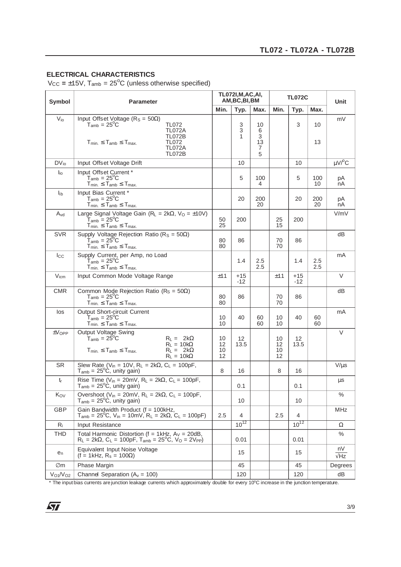## **ELECTRICAL CHARACTERISTICS**

 $V_{\text{CC}} = \pm 15V$ ,  $T_{\text{amb}} = 25^{\circ}C$  (unless otherwise specified)

| <b>Symbol</b>                    | <b>Parameter</b>                                                                                                                                                                                           | <b>TL072I, M, AC, AI,</b><br>AM, BC, BI, BM |                |                              | <b>TL072C</b>        |              |            | Unit              |
|----------------------------------|------------------------------------------------------------------------------------------------------------------------------------------------------------------------------------------------------------|---------------------------------------------|----------------|------------------------------|----------------------|--------------|------------|-------------------|
|                                  |                                                                                                                                                                                                            | Min.                                        | Typ.           | Max.                         | Min.                 | Typ.         | Max.       |                   |
| $V_{i0}$                         | Input Offset Voltage ( $R_s = 50\Omega$ )<br><b>TL072</b><br>$T_{amb} = 25^{\circ}C$<br><b>TL072A</b><br><b>TL072B</b><br>$T_{min.} \leq T_{amb} \leq T_{max.}$<br>TL072<br><b>TL072A</b><br><b>TL072B</b> |                                             | 3<br>3<br>1    | 10<br>6<br>3<br>13<br>7<br>5 |                      | 3            | 10<br>13   | mV                |
| $DV_{i0}$                        | Input Offset Voltage Drift                                                                                                                                                                                 |                                             | 10             |                              |                      | 10           |            | $\mu$ V/ $\rm{C}$ |
| $I_{io}$                         | Input Offset Current *<br>$T_{amb} = 25^{\circ}C$<br>$T_{min.} \leq T_{amb} \leq T_{max.}$                                                                                                                 |                                             | 5              | 100<br>4                     |                      | 5            | 100<br>10  | рA<br>nА          |
| $I_{\text{ib}}$                  | Input Bias Current*<br>$T_{amb} = 25^{\circ}C$<br>$T_{min.} \leq T_{amb} \leq T_{max.}$                                                                                                                    |                                             | 20             | 200<br>20                    |                      | 20           | 200<br>20  | рA<br>nA          |
| $A_{\rm Vd}$                     | Large Signal Voltage Gain ( $R_L = 2k\Omega$ , $V_O = \pm 10V$ )<br>$T_{amb} = 25^{\circ}$ C<br>$T_{min.} \leq T_{amb} \leq T_{max.}$                                                                      | 50<br>25                                    | 200            |                              | 25<br>15             | 200          |            | V/mV              |
| <b>SVR</b>                       | Supply Voltage Rejection Ratio ( $R_S = 50\Omega$ )<br>$T_{amb} = 25^{\circ}C$<br>$T_{min.} \leq T_{amb} \leq T_{max.}$                                                                                    | 80<br>80                                    | 86             |                              | 70<br>70             | 86           |            | dB                |
| $_{\rm lcc}$                     | Supply Current, per Amp, no Load<br>$T_{amb} = 25^{\circ}$ C<br>$T_{min} \leq T_{amb} \leq T_{max}$                                                                                                        |                                             | 1.4            | 2.5<br>2.5                   |                      | 1.4          | 2.5<br>2.5 | mA                |
| $V_{icm}$                        | Input Common Mode Voltage Range                                                                                                                                                                            | ±11                                         | $+15$<br>$-12$ |                              | ±11                  | +15<br>$-12$ |            | V                 |
| <b>CMR</b>                       | Common Mode Rejection Ratio ( $R_s = 50\Omega$ )<br>$T_{\mathsf{amb}} = 25^{\circ}\mathrm{C}$<br>$T_{min.} \leq T_{amb} \leq T_{max.}$                                                                     | 80<br>80                                    | 86             |                              | 70<br>70             | 86           |            | dВ                |
| los                              | Output Short-circuit Current<br>$T_{amb} = 25^{\circ}C$<br>$T_{min.} \leq T_{amb} \leq T_{max.}$                                                                                                           | 10<br>10                                    | 40             | 60<br>60                     | 10<br>10             | 40           | 60<br>60   | mA                |
| $\pm$ V <sub>OPP</sub>           | Output Voltage Swing<br>$T_{amb} = 25^{\circ}C$<br>$R_L = 2k\Omega$<br>$R_L = 10k\Omega$<br>$T_{min.} \leq T_{amb} \leq T_{max.}$<br>$R_L = 2k\Omega$<br>$R_L = 10k\Omega$                                 | 10<br>12<br>10<br>12                        | 12<br>13.5     |                              | 10<br>12<br>10<br>12 | 12<br>13.5   |            | V                 |
| <b>SR</b>                        | Slew Rate (V <sub>in</sub> = 10V, R <sub>L</sub> = 2k $\Omega$ , C <sub>L</sub> = 100pF,<br>$T_{amb}$ = 25°C, unity gain)                                                                                  | 8                                           | 16             |                              | 8                    | 16           |            | $V/\mu s$         |
| $t_{r}$                          | Rise Time ( $V_{in} = 20$ mV, R <sub>L</sub> = 2k $\Omega$ , C <sub>L</sub> = 100pF,<br>$T_{amb}$ = 25 <sup>o</sup> C, unity gain)                                                                         |                                             | 0.1            |                              |                      | 0.1          |            | μs                |
| Kov                              | Overshoot ( $V_{in}$ = 20mV, $R_L$ = 2k $\Omega$ , $C_L$ = 100pF,<br>$T_{amb} = 25^{\circ}\text{C}$ , unity gain)                                                                                          |                                             | 10             |                              |                      | 10           |            | $\%$              |
| <b>GBP</b>                       | Gain Bandwidth Product (f = 100kHz,<br>$T_{amb} = 25^{\circ}C$ , $V_{in} = 10mV$ , $R_L = 2k\Omega$ , $C_L = 100pF$ )                                                                                      | 2.5                                         | 4              |                              | 2.5                  | 4            |            | <b>MHz</b>        |
| $R_i$                            | Input Resistance                                                                                                                                                                                           |                                             | $10^{12}$      |                              |                      | $10^{12}$    |            | Ω                 |
| <b>THD</b>                       | Total Harmonic Distortion ( $f = 1$ kHz, $A_V = 20$ dB,<br>$R_L = 2k\Omega$ , $C_L = 100pF$ , $T_{amb} = 25^{\circ}C$ , $V_O = 2V_{PP}$                                                                    |                                             | 0.01           |                              |                      | 0.01         |            | $\%$              |
| en                               | Equivalent Input Noise Voltage<br>$(f = 1kHz, R_s = 100\Omega)$                                                                                                                                            |                                             | 15             |                              |                      | 15           |            | nV<br>$\sqrt{Hz}$ |
| ∅m                               | Phase Margin                                                                                                                                                                                               |                                             | 45             |                              |                      | 45           |            | Degrees           |
| V <sub>O1</sub> /V <sub>O2</sub> | Channel Separation ( $A_v = 100$ )                                                                                                                                                                         |                                             | 120            |                              |                      | 120          |            | dB                |

 $*$  The input bias currents are junction leakage currents which approximately double for every 10 $^{\circ}$ C increase in the junction temperature.

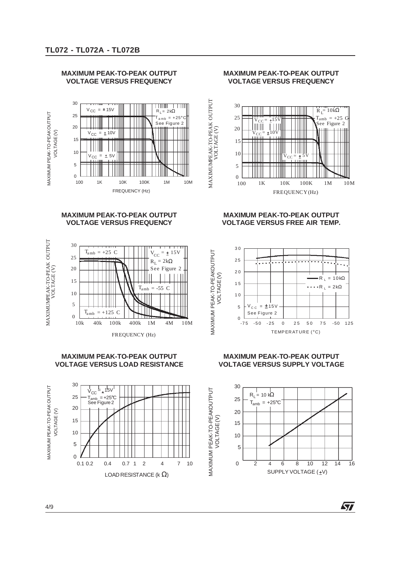

#### **MAXIMUM PEAK-TO-PEAK OUTPUT VOLTAGE VERSUS FREQUENCY**

#### **MAXIMUM PEAK-TO-PEAK OUTPUT VOLTAGE VERSUS FREQUENCY**



#### **MAXIMUM PEAK-TO-PEAK OUTPUT VOLTAGE VERSUS LOAD RESISTANCE**



#### **MAXIMUM PEAK-TO-PEAK OUTPUT VOLTAGE VERSUS FREQUENCY**



MAXIMUMPEAK-TO-PEAK OUTPUT

MAXIMUM PEAK-TO-PEAKOUTPUT

**MAXIMUM PEAK-TO-PEAKOUTPUT** 

#### **MAXIMUM PEAK-TO-PEAK OUTPUT VOLTAGE VERSUS FREE AIR TEMP.**



#### **MAXIMUM PEAK-TO-PEAK OUTPUT VOLTAGE VERSUS SUPPLY VOLTAGE**



勾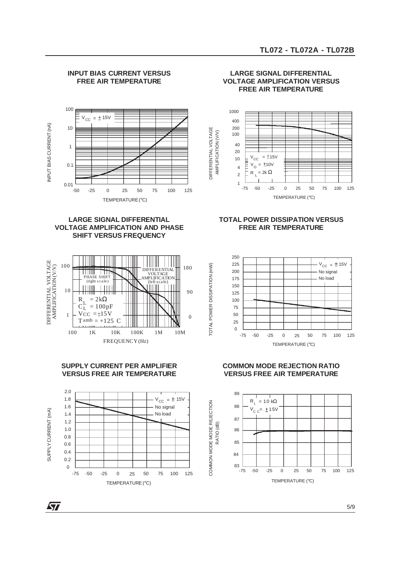

#### **INPUT BIAS CURRENT VERSUS FREE AIR TEMPERATURE**

#### **LARGE SIGNAL DIFFERENTIAL VOLTAGE AMPLIFICATION AND PHASE SHIFT VERSUS FREQUENCY**



#### **SUPPLY CURRENT PER AMPLIFIER VERSUS FREE AIR TEMPERATURE**



ST

#### **LARGE SIGNAL DIFFERENTIAL VOLTAGE AMPLIFICATION VERSUS FREE AIR TEMPERATURE**



#### **TOTAL POWER DISSIPATION VERSUS FREE AIR TEMPERATURE**



TOTAL POWER DISSIPATION (mW)

TOTAL POWER DISSIPATION (mW)

COMMON MODE MODE REJECTION

COMMON MODE MODE REJECTION

#### **COMMON MODE REJECTION RATIO VERSUS FREE AIR TEMPERATURE**



5/9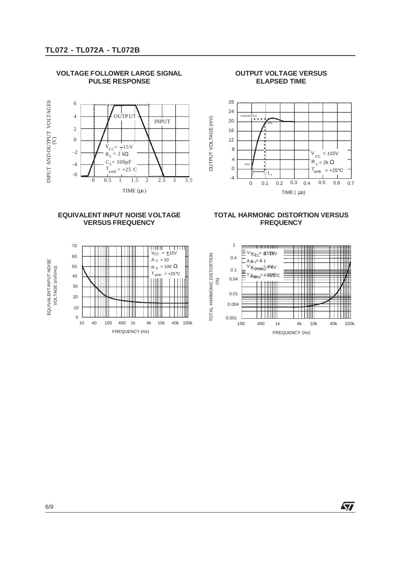

#### **VOLTAGE FOLLOWER LARGE SIGNAL PULSE RESPONSE**

#### **OUTPUT VOLTAGE VERSUS ELAPSED TIME**



#### **EQUIVALENT INPUT NOISE VOLTAGE VERSUS FREQUENCY**



#### **TOTAL HARMONIC DISTORTION VERSUS FREQUENCY**



57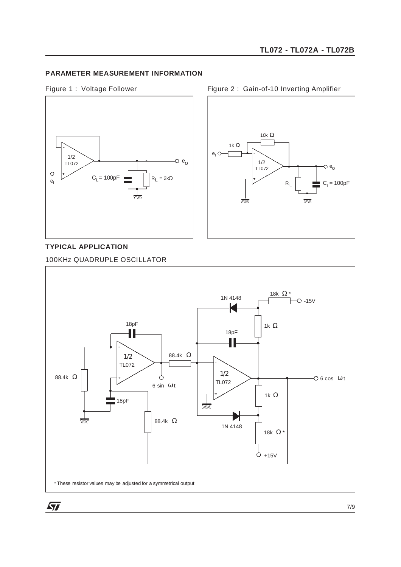## **PARAMETER MEASUREMENT INFORMATION**

Figure 1 : Voltage Follower





#### **TYPICAL APPLICATION**

100KHz QUADRUPLE OSCILLATOR



Figure 2 : Gain-of-10 Inverting Amplifier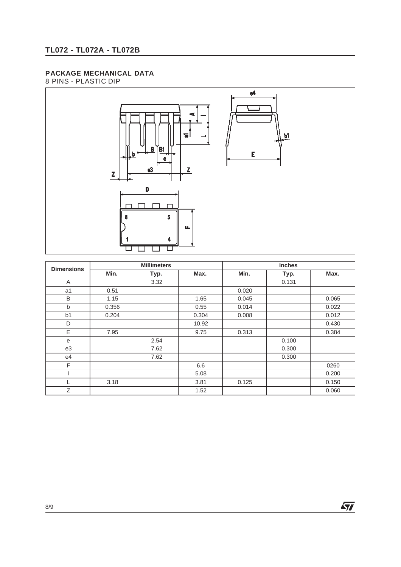## **PACKAGE MECHANICAL DATA**

8 PINS - PLASTIC DIP



| <b>Dimensions</b> | <b>Millimeters</b> |      |       | <b>Inches</b> |       |       |  |
|-------------------|--------------------|------|-------|---------------|-------|-------|--|
|                   | Min.               | Typ. | Max.  | Min.          | Typ.  | Max.  |  |
| Α                 |                    | 3.32 |       |               | 0.131 |       |  |
| a1                | 0.51               |      |       | 0.020         |       |       |  |
| B                 | 1.15               |      | 1.65  | 0.045         |       | 0.065 |  |
| $\mathsf b$       | 0.356              |      | 0.55  | 0.014         |       | 0.022 |  |
| b <sub>1</sub>    | 0.204              |      | 0.304 | 0.008         |       | 0.012 |  |
| D                 |                    |      | 10.92 |               |       | 0.430 |  |
| E                 | 7.95               |      | 9.75  | 0.313         |       | 0.384 |  |
| e                 |                    | 2.54 |       |               | 0.100 |       |  |
| e3                |                    | 7.62 |       |               | 0.300 |       |  |
| e4                |                    | 7.62 |       |               | 0.300 |       |  |
| F                 |                    |      | 6.6   |               |       | 0260  |  |
|                   |                    |      | 5.08  |               |       | 0.200 |  |
|                   | 3.18               |      | 3.81  | 0.125         |       | 0.150 |  |
| Z                 |                    |      | 1.52  |               |       | 0.060 |  |